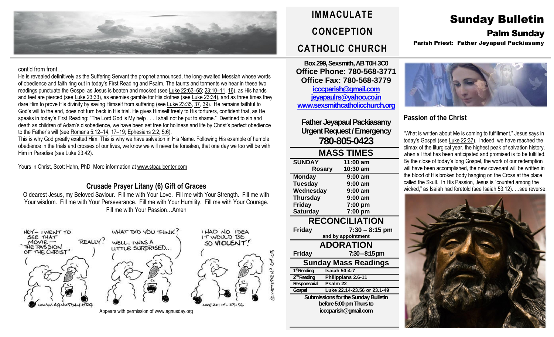

#### cont'd from front…

He is revealed definitively as the Suffering Servant the prophet announced, the long-awaited Messiah whose words of obedience and faith ring out in today's First Reading and Psalm. The taunts and torments we hear in these two readings punctuate the Gospel as Jesus is beaten and mocked (see Luke [22:63](https://biblia.com/bible/rsvce/Luke%2022.63%E2%80%9365)–65; [23:10](https://biblia.com/bible/rsvce/Luke%2023.10%E2%80%9311)–11, [16\)](https://biblia.com/bible/rsvce/Luke%2023.16), as His hands and feet are pierced (see Luke [23:33\)](https://biblia.com/bible/rsvce/Luke%2023.33), as enemies gamble for His clothes (see Luke [23:34\)](https://biblia.com/bible/rsvce/Luke%2023.34), and as three times they dare Him to prove His divinity by saving Himself from suffering (see Luke [23:35,](https://biblia.com/bible/rsvce/Luke%2023.35) [37,](https://biblia.com/bible/rsvce/Luke%2023.37) [39\)](https://biblia.com/bible/rsvce/Luke%2023.39). He remains faithful to God's will to the end, does not turn back in His trial. He gives Himself freely to His torturers, confident that, as He speaks in today's First Reading: "The Lord God is My help . . . I shall not be put to shame." Destined to sin and death as children of Adam's disobedience, we have been set free for holiness and life by Christ's perfect obedience to the Father's will (see [Romans](https://biblia.com/bible/rsvce/Rom%205.12%E2%80%9314) 5:12-14, 17-[19;](https://biblia.com/bible/rsvce/Romans%205.17%E2%80%9319) [Ephesians](https://biblia.com/bible/rsvce/Eph%202.2) 2:2; [5:6\)](https://biblia.com/bible/rsvce/Ephesians%205.6).

This is why God greatly exalted Him. This is why we have salvation in His Name. Following His example of humble obedience in the trials and crosses of our lives, we know we will never be forsaken, that one day we too will be with Him in Paradise (see Luke [23:42\)](https://biblia.com/bible/rsvce/Luke%2023.42).

Yours in Christ, Scott Hahn, PhD More information a[t www.stpaulcenter.com](http://www.stpaulcenter.com/)

#### **Crusade Prayer Litany (6) Gift of Graces**

O dearest Jesus, my Beloved Saviour. Fill me with Your Love. Fill me with Your Strength. Fill me with Your wisdom. Fill me with Your Perseverance. Fill me with Your Humility. Fill me with Your Courage. Fill me with Your Passion…Amen



# **IMMACULATE CONCEPTION CATHOLIC CHURCH**

**Box 299, Sexsmith, AB T0H 3C0 Office Phone: 780-568-3771 Office Fax: 780-568-3779 [icccparish@gmail.com](mailto:icccparish@gmail.com) [jeyapaulrs@yahoo.co.in](mailto:jeyapaulrs@yahoo.co.in) [www.sexsmithcatholicchurch.org](http://www.sexsmithcatholicchurch.org/)**

**Father Jeyapaul Packiasamy Urgent Request/Emergency 780-805-0423**

| <b>MASS TIMES</b>                          |                             |  |  |  |  |
|--------------------------------------------|-----------------------------|--|--|--|--|
| <b>SUNDAY</b>                              | 11:00 am                    |  |  |  |  |
|                                            | 10:30 am<br><b>Rosary</b>   |  |  |  |  |
| <b>Monday</b>                              | 9:00 am                     |  |  |  |  |
| <b>Tuesday</b>                             | 9:00 am                     |  |  |  |  |
| Wednesday                                  | 9:00 am                     |  |  |  |  |
| <b>Thursday</b>                            | $9:00$ am                   |  |  |  |  |
| Friday                                     | $7:00$ pm                   |  |  |  |  |
| <b>Saturday</b>                            | 7:00 pm                     |  |  |  |  |
| <b>RECONCILIATION</b>                      |                             |  |  |  |  |
| <b>Friday</b>                              | $7:30 - 8:15$ pm            |  |  |  |  |
|                                            | and by appointment          |  |  |  |  |
| <b>ADORATION</b>                           |                             |  |  |  |  |
| <b>Friday</b>                              | $7:30-8:15 \,\mathrm{pm}$   |  |  |  |  |
| <b>Sunday Mass Readings</b>                |                             |  |  |  |  |
| 1 <sup>st</sup> Reading                    | <b>Isaiah 50:4-7</b>        |  |  |  |  |
| 2 <sup>nd</sup> Reading                    | Philippians 2.6-11          |  |  |  |  |
| Responsorial                               | Psalm <sub>22</sub>         |  |  |  |  |
| Gospel                                     | Luke 22.14-23.56 or 23.1-49 |  |  |  |  |
| <b>Submissions for the Sunday Bulletin</b> |                             |  |  |  |  |
| before 5:00 pm Thurs to                    |                             |  |  |  |  |
| icccparish@gmail.com                       |                             |  |  |  |  |

## Sunday Bulletin Palm Sunday Parish Priest: Father Jeyapaul Packiasamy



## **Passion of the Christ**

"What is written about Me is coming to fulfillment," Jesus says in today's Gospel (see Luke [22:37\)](https://biblia.com/bible/rsvce/Luke%2022.37). Indeed, we have reached the climax of the liturgical year, the highest peak of salvation history, when all that has been anticipated and promised is to be fulfilled. By the close of today's long Gospel, the work of our redemption will have been accomplished, the new covenant will be written in the blood of His broken body hanging on the Cross at the place called the Skull. In His Passion, Jesus is "counted among the wicked," as Isaiah had foretold (see Isaiah [53:12\)](https://biblia.com/bible/rsvce/Isa%2053.12). …see reverse.